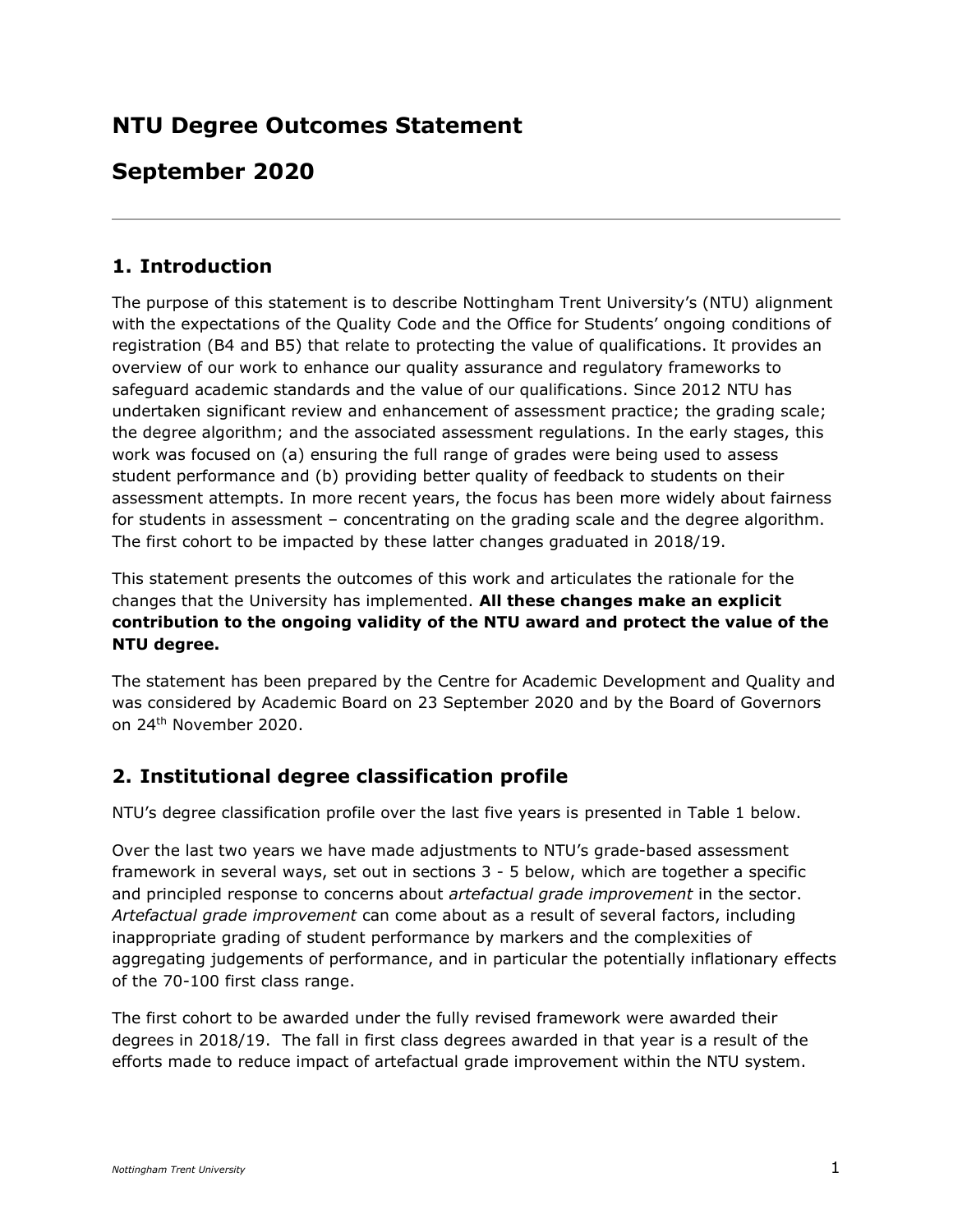# **NTU Degree Outcomes Statement**

# **September 2020**

# **1. Introduction**

The purpose of this statement is to describe Nottingham Trent University's (NTU) alignment with the expectations of the Quality Code and the Office for Students' ongoing conditions of registration (B4 and B5) that relate to protecting the value of qualifications. It provides an overview of our work to enhance our quality assurance and regulatory frameworks to safeguard academic standards and the value of our qualifications. Since 2012 NTU has undertaken significant review and enhancement of assessment practice; the grading scale; the degree algorithm; and the associated assessment regulations. In the early stages, this work was focused on (a) ensuring the full range of grades were being used to assess student performance and (b) providing better quality of feedback to students on their assessment attempts. In more recent years, the focus has been more widely about fairness for students in assessment – concentrating on the grading scale and the degree algorithm. The first cohort to be impacted by these latter changes graduated in 2018/19.

This statement presents the outcomes of this work and articulates the rationale for the changes that the University has implemented. **All these changes make an explicit contribution to the ongoing validity of the NTU award and protect the value of the NTU degree.**

The statement has been prepared by the Centre for Academic Development and Quality and was considered by Academic Board on 23 September 2020 and by the Board of Governors on 24th November 2020.

# **2. Institutional degree classification profile**

NTU's degree classification profile over the last five years is presented in Table 1 below.

Over the last two years we have made adjustments to NTU's grade-based assessment framework in several ways, set out in sections 3 - 5 below, which are together a specific and principled response to concerns about *artefactual grade improvement* in the sector. *Artefactual grade improvement* can come about as a result of several factors, including inappropriate grading of student performance by markers and the complexities of aggregating judgements of performance, and in particular the potentially inflationary effects of the 70-100 first class range.

The first cohort to be awarded under the fully revised framework were awarded their degrees in 2018/19. The fall in first class degrees awarded in that year is a result of the efforts made to reduce impact of artefactual grade improvement within the NTU system.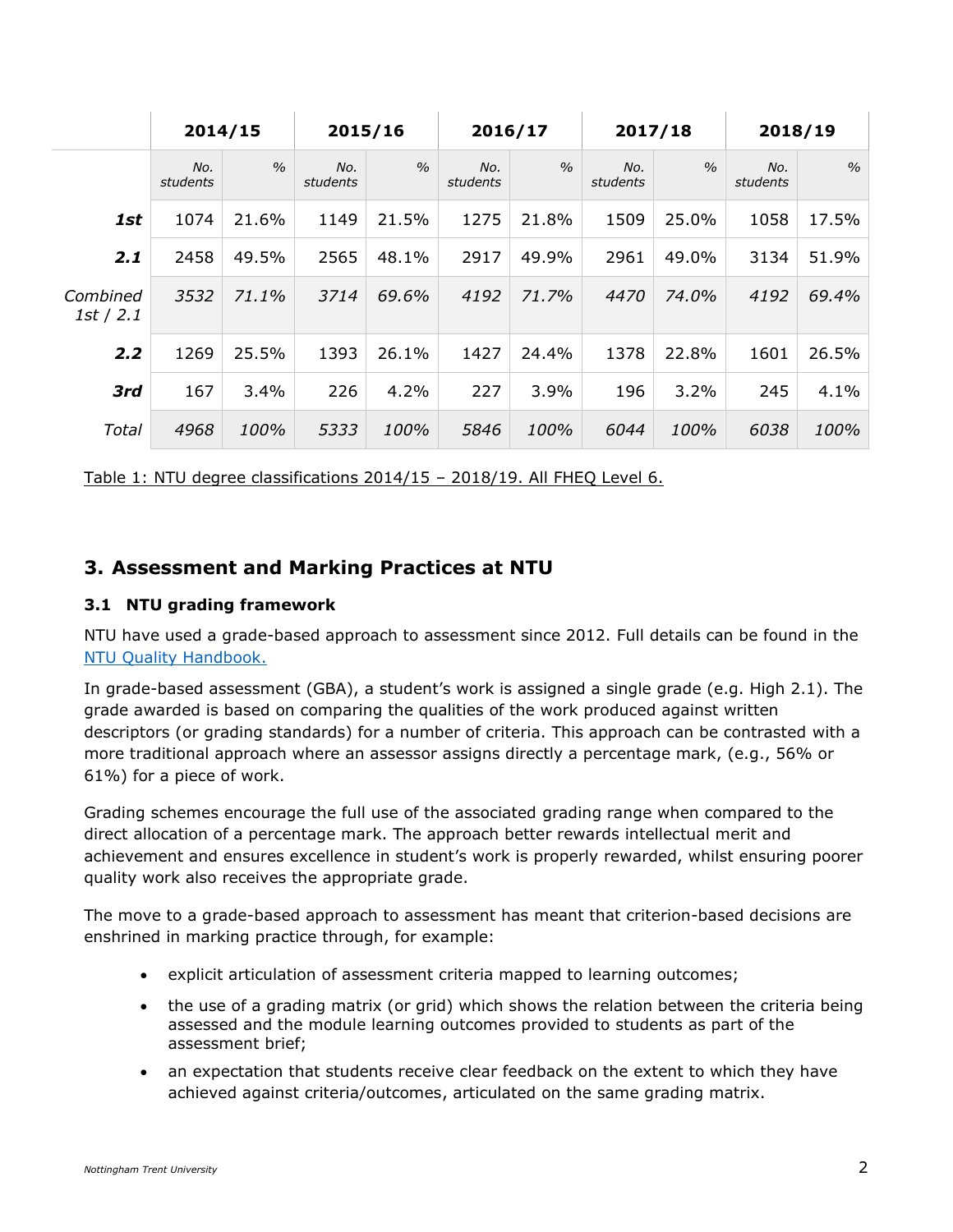|                       | 2014/15         |               | 2015/16         |               | 2016/17         |               | 2017/18         |               | 2018/19         |               |
|-----------------------|-----------------|---------------|-----------------|---------------|-----------------|---------------|-----------------|---------------|-----------------|---------------|
|                       | No.<br>students | $\frac{0}{0}$ | No.<br>students | $\frac{0}{0}$ | No.<br>students | $\frac{0}{0}$ | No.<br>students | $\frac{0}{0}$ | No.<br>students | $\frac{0}{0}$ |
| 1st                   | 1074            | 21.6%         | 1149            | 21.5%         | 1275            | 21.8%         | 1509            | 25.0%         | 1058            | 17.5%         |
| 2.1                   | 2458            | 49.5%         | 2565            | 48.1%         | 2917            | 49.9%         | 2961            | 49.0%         | 3134            | 51.9%         |
| Combined<br>1st / 2.1 | 3532            | 71.1%         | 3714            | 69.6%         | 4192            | 71.7%         | 4470            | 74.0%         | 4192            | 69.4%         |
| 2.2                   | 1269            | 25.5%         | 1393            | 26.1%         | 1427            | 24.4%         | 1378            | 22.8%         | 1601            | 26.5%         |
| 3rd                   | 167             | 3.4%          | 226             | 4.2%          | 227             | 3.9%          | 196             | $3.2\%$       | 245             | 4.1%          |
| Total                 | 4968            | 100%          | 5333            | 100%          | 5846            | 100%          | 6044            | 100%          | 6038            | 100%          |

Table 1: NTU degree classifications 2014/15 – 2018/19. All FHEQ Level 6.

### **3. Assessment and Marking Practices at NTU**

### **3.1 NTU grading framework**

NTU have used a grade-based approach to assessment since 2012. Full details can be found in the [NTU Quality Handbook.](https://www.ntu.ac.uk/about-us/academic-development-and-quality/quality-management/quality-handbook)

In grade-based assessment (GBA), a student's work is assigned a single grade (e.g. High 2.1). The grade awarded is based on comparing the qualities of the work produced against written descriptors (or grading standards) for a number of criteria. This approach can be contrasted with a more traditional approach where an assessor assigns directly a percentage mark, (e.g., 56% or 61%) for a piece of work.

Grading schemes encourage the full use of the associated grading range when compared to the direct allocation of a percentage mark. The approach better rewards intellectual merit and achievement and ensures excellence in student's work is properly rewarded, whilst ensuring poorer quality work also receives the appropriate grade.

The move to a grade-based approach to assessment has meant that criterion-based decisions are enshrined in marking practice through, for example:

- explicit articulation of assessment criteria mapped to learning outcomes;
- the use of a grading matrix (or grid) which shows the relation between the criteria being assessed and the module learning outcomes provided to students as part of the assessment brief;
- an expectation that students receive clear feedback on the extent to which they have achieved against criteria/outcomes, articulated on the same grading matrix.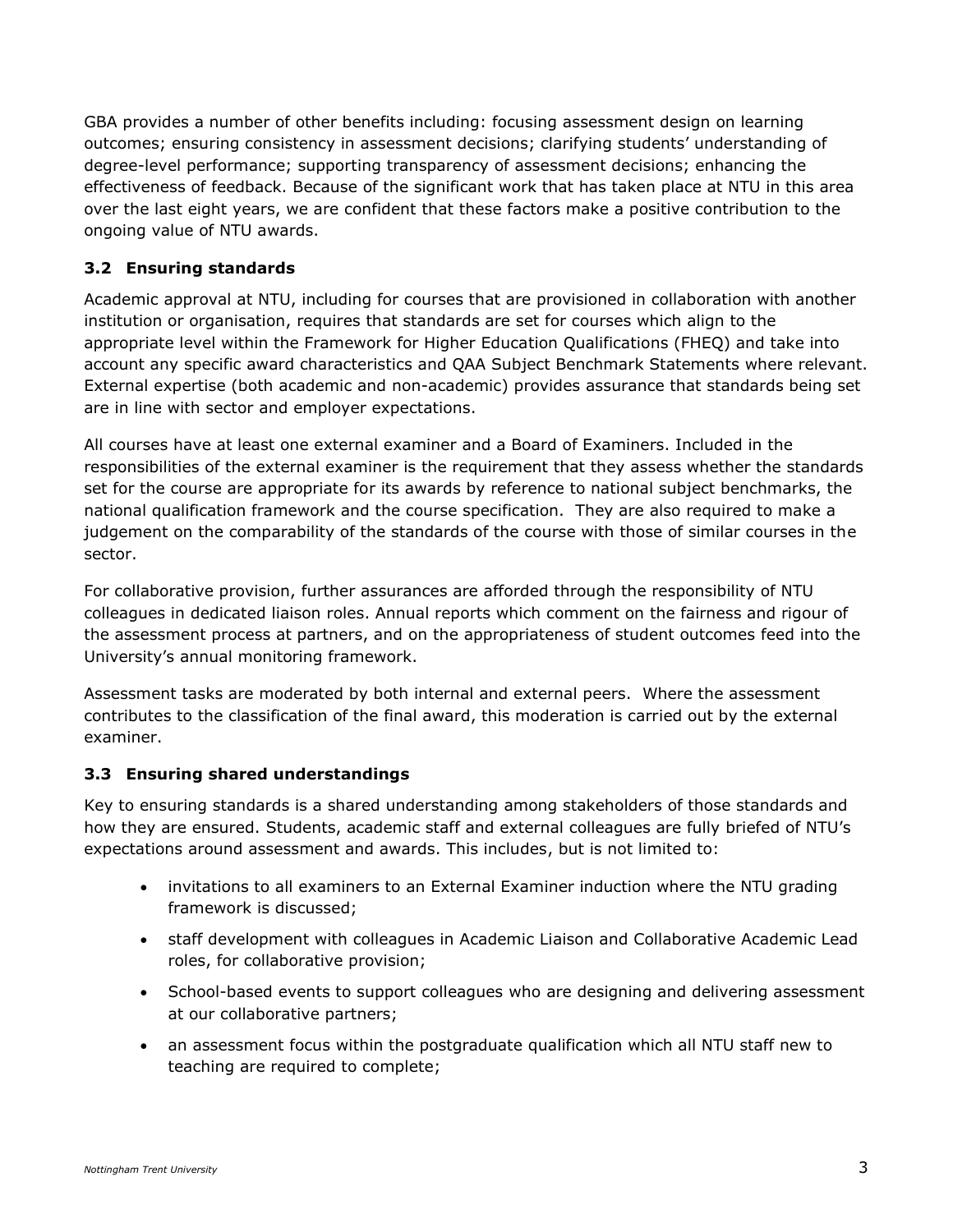GBA provides a number of other benefits including: focusing assessment design on learning outcomes; ensuring consistency in assessment decisions; clarifying students' understanding of degree-level performance; supporting transparency of assessment decisions; enhancing the effectiveness of feedback. Because of the significant work that has taken place at NTU in this area over the last eight years, we are confident that these factors make a positive contribution to the ongoing value of NTU awards.

### **3.2 Ensuring standards**

Academic approval at NTU, including for courses that are provisioned in collaboration with another institution or organisation, requires that standards are set for courses which align to the appropriate level within the Framework for Higher Education Qualifications (FHEQ) and take into account any specific award characteristics and QAA Subject Benchmark Statements where relevant. External expertise (both academic and non-academic) provides assurance that standards being set are in line with sector and employer expectations.

All courses have at least one external examiner and a Board of Examiners. Included in the responsibilities of the external examiner is the requirement that they assess whether the standards set for the course are appropriate for its awards by reference to national subject benchmarks, the national qualification framework and the course specification. They are also required to make a judgement on the comparability of the standards of the course with those of similar courses in the sector.

For collaborative provision, further assurances are afforded through the responsibility of NTU colleagues in dedicated liaison roles. Annual reports which comment on the fairness and rigour of the assessment process at partners, and on the appropriateness of student outcomes feed into the University's annual monitoring framework.

Assessment tasks are moderated by both internal and external peers. Where the assessment contributes to the classification of the final award, this moderation is carried out by the external examiner.

#### **3.3 Ensuring shared understandings**

Key to ensuring standards is a shared understanding among stakeholders of those standards and how they are ensured. Students, academic staff and external colleagues are fully briefed of NTU's expectations around assessment and awards. This includes, but is not limited to:

- invitations to all examiners to an External Examiner induction where the NTU grading framework is discussed;
- staff development with colleagues in Academic Liaison and Collaborative Academic Lead roles, for collaborative provision;
- School-based events to support colleagues who are designing and delivering assessment at our collaborative partners;
- an assessment focus within the postgraduate qualification which all NTU staff new to teaching are required to complete;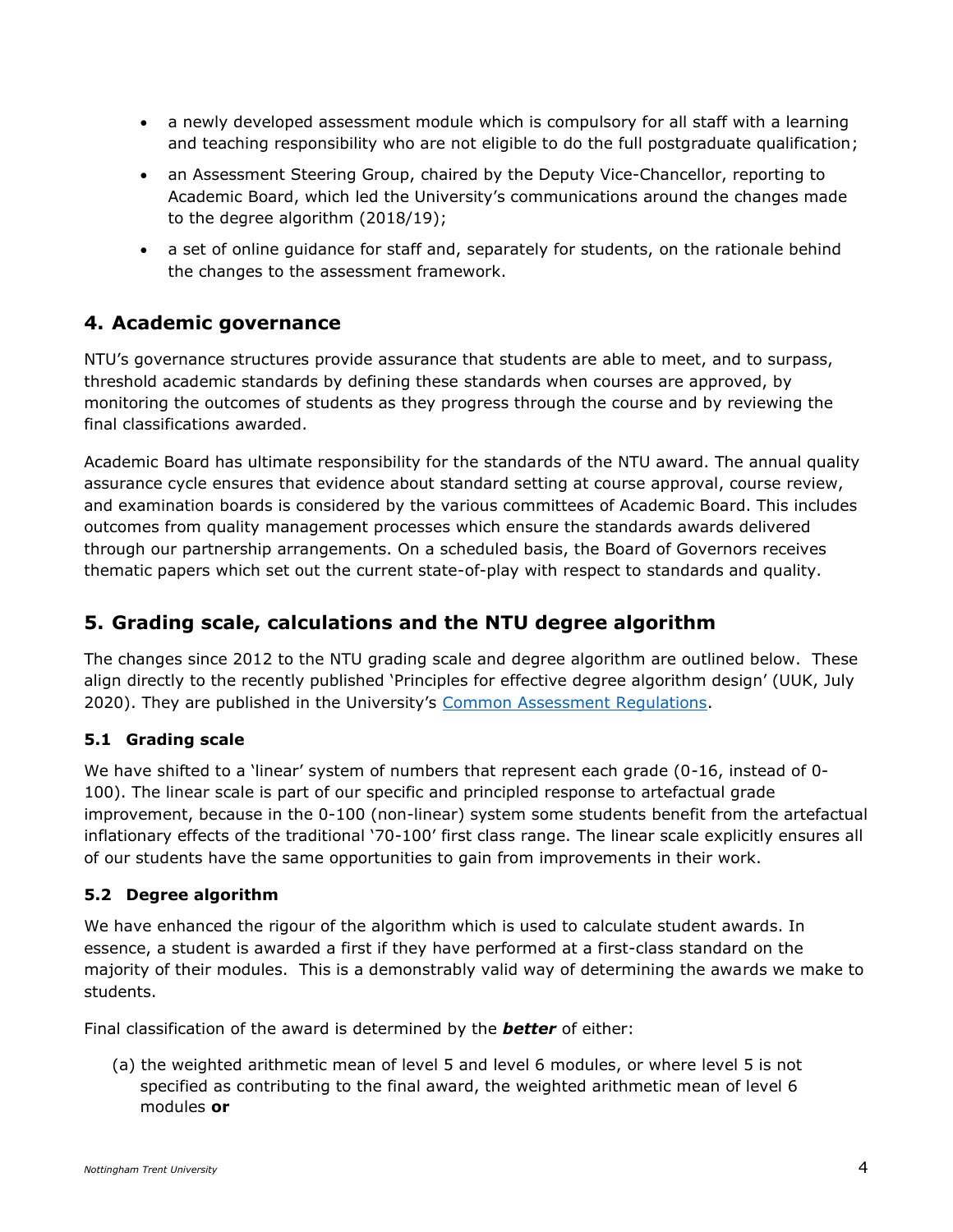- a newly developed assessment module which is compulsory for all staff with a learning and teaching responsibility who are not eligible to do the full postgraduate qualification;
- an Assessment Steering Group, chaired by the Deputy Vice-Chancellor, reporting to Academic Board, which led the University's communications around the changes made to the degree algorithm (2018/19);
- a set of online guidance for staff and, separately for students, on the rationale behind the changes to the assessment framework.

# **4. Academic governance**

NTU's governance structures provide assurance that students are able to meet, and to surpass, threshold academic standards by defining these standards when courses are approved, by monitoring the outcomes of students as they progress through the course and by reviewing the final classifications awarded.

Academic Board has ultimate responsibility for the standards of the NTU award. The annual quality assurance cycle ensures that evidence about standard setting at course approval, course review, and examination boards is considered by the various committees of Academic Board. This includes outcomes from quality management processes which ensure the standards awards delivered through our partnership arrangements. On a scheduled basis, the Board of Governors receives thematic papers which set out the current state-of-play with respect to standards and quality.

# **5. Grading scale, calculations and the NTU degree algorithm**

The changes since 2012 to the NTU grading scale and degree algorithm are outlined below. These align directly to the recently published 'Principles for effective degree algorithm design' (UUK, July 2020). They are published in the University's [Common Assessment Regulations.](https://www.ntu.ac.uk/__data/assets/pdf_file/0027/921366/quality-handbook-section-16a-common-assessment-regulations-for-bachelors-integrated-masters-degrees.pdf)

### **5.1 Grading scale**

We have shifted to a 'linear' system of numbers that represent each grade (0-16, instead of 0- 100). The linear scale is part of our specific and principled response to artefactual grade improvement, because in the 0-100 (non-linear) system some students benefit from the artefactual inflationary effects of the traditional '70-100' first class range. The linear scale explicitly ensures all of our students have the same opportunities to gain from improvements in their work.

#### **5.2 Degree algorithm**

We have enhanced the rigour of the algorithm which is used to calculate student awards. In essence, a student is awarded a first if they have performed at a first-class standard on the majority of their modules. This is a demonstrably valid way of determining the awards we make to students.

Final classification of the award is determined by the *better* of either:

(a) the weighted arithmetic mean of level 5 and level 6 modules, or where level 5 is not specified as contributing to the final award, the weighted arithmetic mean of level 6 modules **or**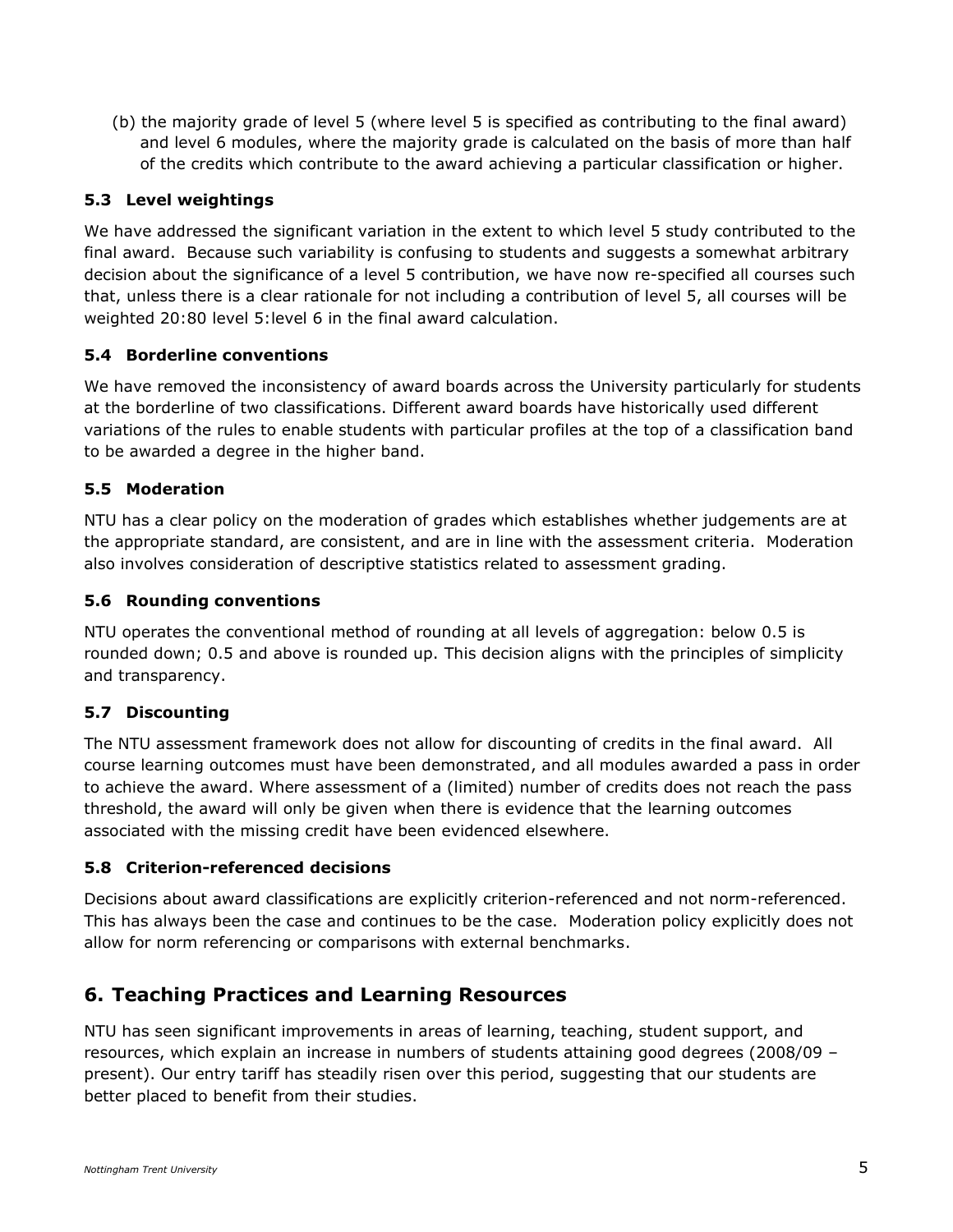(b) the majority grade of level 5 (where level 5 is specified as contributing to the final award) and level 6 modules, where the majority grade is calculated on the basis of more than half of the credits which contribute to the award achieving a particular classification or higher.

#### **5.3 Level weightings**

We have addressed the significant variation in the extent to which level 5 study contributed to the final award. Because such variability is confusing to students and suggests a somewhat arbitrary decision about the significance of a level 5 contribution, we have now re-specified all courses such that, unless there is a clear rationale for not including a contribution of level 5, all courses will be weighted 20:80 level 5:level 6 in the final award calculation.

#### **5.4 Borderline conventions**

We have removed the inconsistency of award boards across the University particularly for students at the borderline of two classifications. Different award boards have historically used different variations of the rules to enable students with particular profiles at the top of a classification band to be awarded a degree in the higher band.

#### **5.5 Moderation**

NTU has a clear policy on the moderation of grades which establishes whether judgements are at the appropriate standard, are consistent, and are in line with the assessment criteria. Moderation also involves consideration of descriptive statistics related to assessment grading.

#### **5.6 Rounding conventions**

NTU operates the conventional method of rounding at all levels of aggregation: below 0.5 is rounded down; 0.5 and above is rounded up. This decision aligns with the principles of simplicity and transparency.

#### **5.7 Discounting**

The NTU assessment framework does not allow for discounting of credits in the final award. All course learning outcomes must have been demonstrated, and all modules awarded a pass in order to achieve the award. Where assessment of a (limited) number of credits does not reach the pass threshold, the award will only be given when there is evidence that the learning outcomes associated with the missing credit have been evidenced elsewhere.

#### **5.8 Criterion-referenced decisions**

Decisions about award classifications are explicitly criterion-referenced and not norm-referenced. This has always been the case and continues to be the case. Moderation policy explicitly does not allow for norm referencing or comparisons with external benchmarks.

### **6. Teaching Practices and Learning Resources**

NTU has seen significant improvements in areas of learning, teaching, student support, and resources, which explain an increase in numbers of students attaining good degrees (2008/09 – present). Our entry tariff has steadily risen over this period, suggesting that our students are better placed to benefit from their studies.